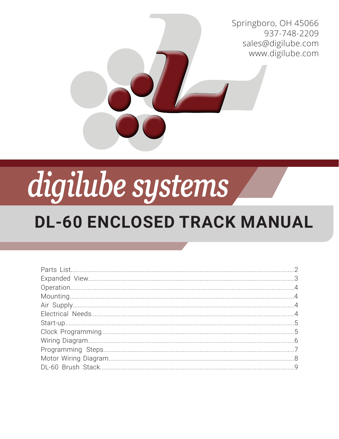Springboro, OH 45066 937-748-2209 sales@digilube.com www.digilube.com

# digilube systems

### **DL-60 ENCLOSED TRACK MANUAL**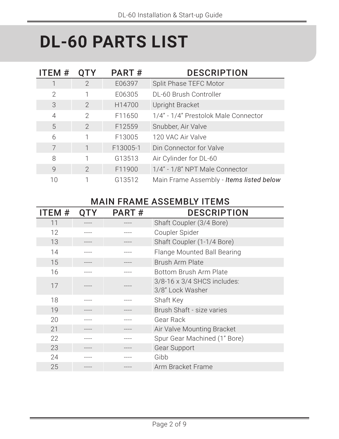### **DL-60 PARTS LIST**

| ITEM #         | <b>QTY</b>     | PART#    | <b>DESCRIPTION</b>                       |
|----------------|----------------|----------|------------------------------------------|
|                | $\overline{2}$ | E06397   | Split Phase TEFC Motor                   |
| $\mathcal{P}$  | 1              | E06305   | DL-60 Brush Controller                   |
| 3              | $\overline{2}$ | H14700   | <b>Upright Bracket</b>                   |
| $\overline{4}$ | $\overline{2}$ | F11650   | 1/4" - 1/4" Prestolok Male Connector     |
| 5              | $\overline{2}$ | F12559   | Snubber, Air Valve                       |
| 6              | 1              | F13005   | 120 VAC Air Valve                        |
| 7              |                | F13005-1 | Din Connector for Valve                  |
| 8              |                | G13513   | Air Cylinder for DL-60                   |
| $\mathcal{Q}$  | $\overline{2}$ | F11900   | 1/4" - 1/8" NPT Male Connector           |
| 10             |                | G13512   | Main Frame Assembly - Items listed below |

#### MAIN FRAME ASSEMBLY ITEMS

| ITEM # | <b>OTY</b> | PART# | <b>DESCRIPTION</b>                              |
|--------|------------|-------|-------------------------------------------------|
| 11     |            |       | Shaft Coupler (3/4 Bore)                        |
| 12     |            |       | Coupler Spider                                  |
| 13     |            |       | Shaft Coupler (1-1/4 Bore)                      |
| 14     |            |       | Flange Mounted Ball Bearing                     |
| 15     |            |       | <b>Brush Arm Plate</b>                          |
| 16     |            |       | Bottom Brush Arm Plate                          |
| 17     |            |       | 3/8-16 x 3/4 SHCS includes:<br>3/8" Lock Washer |
| 18     |            |       | Shaft Key                                       |
| 19     |            |       | Brush Shaft - size varies                       |
| 20     |            |       | Gear Rack                                       |
| 21     |            |       | Air Valve Mounting Bracket                      |
| 22     |            |       | Spur Gear Machined (1" Bore)                    |
| 23     |            |       | Gear Support                                    |
| 24     |            |       | Gibb                                            |
| 25     |            |       | Arm Bracket Frame                               |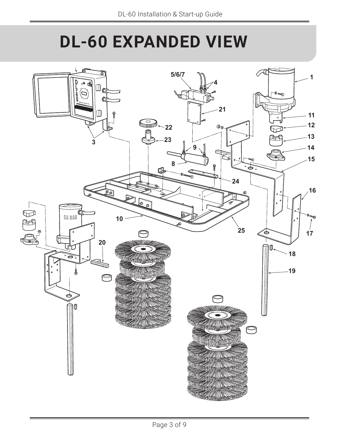### **DL-60 EXPANDED VIEW**

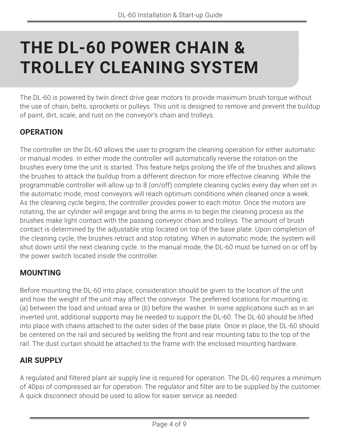### **THE DL-60 POWER CHAIN & TROLLEY CLEANING SYSTEM**

The DL-60 is powered by twin direct drive gear motors to provide maximum brush torque without the use of chain, belts, sprockets or pulleys. This unit is designed to remove and prevent the buildup of paint, dirt, scale, and rust on the conveyor's chain and trolleys.

#### **OPERATION**

The controller on the DL-60 allows the user to program the cleaning operation for either automatic or manual modes. In either mode the controller will automatically reverse the rotation on the brushes every time the unit is started. This feature helps prolong the life of the brushes and allows the brushes to attack the buildup from a different direction for more effective cleaning. While the programmable controller will allow up to 8 (on/off) complete cleaning cycles every day when set in the automatic mode, most conveyors will reach optimum conditions when cleaned once a week. As the cleaning cycle begins, the controller provides power to each motor. Once the motors are rotating, the air cylinder will engage and bring the arms in to begin the cleaning process as the brushes make light contact with the passing conveyor chain and trolleys. The amount of brush contact is determined by the adjustable stop located on top of the base plate. Upon completion of the cleaning cycle, the brushes retract and stop rotating. When in automatic mode, the system will shut down until the next cleaning cycle. In the manual mode, the DL-60 must be turned on or off by the power switch located inside the controller.

#### **MOUNTING**

Before mounting the DL-60 into place, consideration should be given to the location of the unit and how the weight of the unit may affect the conveyor. The preferred locations for mounting is: (a) between the load and unload area or (b) before the washer. In some applications such as in an inverted unit, additional supports may be needed to support the DL-60. The DL-60 should be lifted into place with chains attached to the outer sides of the base plate. Once in place, the DL-60 should be centered on the rail and secured by welding the front and rear mounting tabs to the top of the rail. The dust curtain should be attached to the frame with the enclosed mounting hardware.

#### **AIR SUPPLY**

A regulated and filtered plant air supply line is required for operation. The DL-60 requires a minimum of 40psi of compressed air for operation. The regulator and filter are to be supplied by the customer. A quick disconnect should be used to allow for easier service as needed.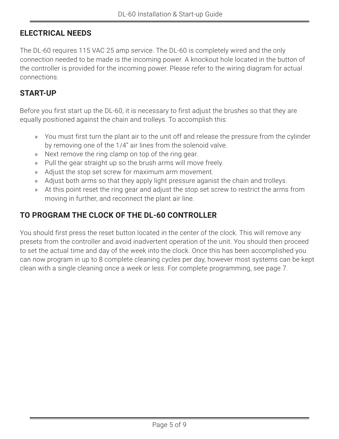#### **ELECTRICAL NEEDS**

The DL-60 requires 115 VAC 25 amp service. The DL-60 is completely wired and the only connection needed to be made is the incoming power. A knockout hole located in the button of the controller is provided for the incoming power. Please refer to the wiring diagram for actual connections.

#### **START-UP**

Before you first start up the DL-60, it is necessary to first adjust the brushes so that they are equally positioned against the chain and trolleys. To accomplish this:

- » You must first turn the plant air to the unit off and release the pressure from the cylinder by removing one of the 1/4" air lines from the solenoid valve.
- » Next remove the ring clamp on top of the ring gear.
- » Pull the gear straight up so the brush arms will move freely.
- » Adjust the stop set screw for maximum arm movement.
- » Adjust both arms so that they apply light pressure aganist the chain and trolleys.
- » At this point reset the ring gear and adjust the stop set screw to restrict the arms from moving in further, and reconnect the plant air line.

#### **TO PROGRAM THE CLOCK OF THE DL-60 CONTROLLER**

You should first press the reset button located in the center of the clock. This will remove any presets from the controller and avoid inadvertent operation of the unit. You should then proceed to set the actual time and day of the week into the clock. Once this has been accomplished you can now program in up to 8 complete cleaning cycles per day, however most systems can be kept clean with a single cleaning once a week or less. For complete programming, see page 7.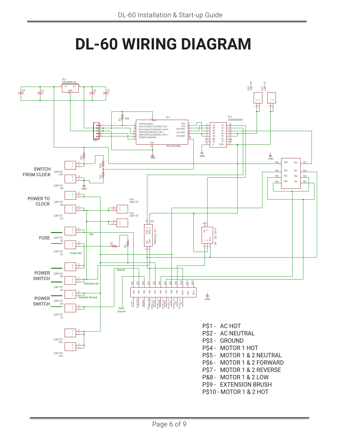### **DL-60 WIRING DIAGRAM**

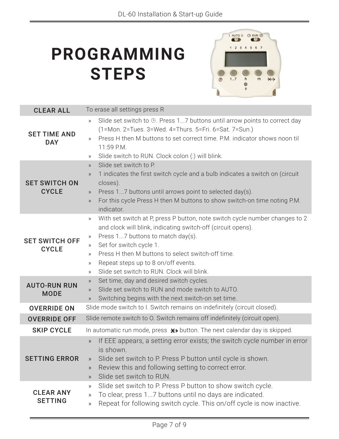### **PROGRAMMING STEPS**



| <b>CLEAR ALL</b>                   | To erase all settings press R                                                                                                                               |  |  |  |  |
|------------------------------------|-------------------------------------------------------------------------------------------------------------------------------------------------------------|--|--|--|--|
| <b>SET TIME AND</b>                | Slide set switch to $\oplus$ . Press 17 buttons until arrow points to correct day<br>$\mathcal{Y}$<br>(1=Mon. 2=Tues. 3=Wed. 4=Thurs. 5=Fri. 6=Sat. 7=Sun.) |  |  |  |  |
| <b>DAY</b>                         | Press H then M buttons to set correct time. P.M. indicator shows noon til<br>$\rangle$<br>11:59 P.M.                                                        |  |  |  |  |
|                                    | Slide switch to RUN. Clock colon (:) will blink.<br>$\rangle$                                                                                               |  |  |  |  |
|                                    | Slide set switch to P.<br>$\rangle\!\rangle$                                                                                                                |  |  |  |  |
|                                    | 1 indicates the first switch cycle and a bulb indicates a switch on (circuit<br>$\rangle\!\rangle$                                                          |  |  |  |  |
| <b>SET SWITCH ON</b>               | closes).                                                                                                                                                    |  |  |  |  |
| <b>CYCLE</b>                       | Press 17 buttons until arrows point to selected day(s).<br>$\rangle\!\rangle$                                                                               |  |  |  |  |
|                                    | For this cycle Press H then M buttons to show switch-on time noting P.M.<br>$\rangle\!\rangle$<br>indicator.                                                |  |  |  |  |
|                                    | With set switch at P, press P button, note switch cycle number changes to 2<br>$\rangle\!\rangle$                                                           |  |  |  |  |
|                                    | and clock will blink, indicating switch-off (circuit opens).                                                                                                |  |  |  |  |
| <b>SET SWITCH OFF</b>              | Press 17 buttons to match day(s).<br>$\gg$                                                                                                                  |  |  |  |  |
| <b>CYCLE</b>                       | Set for switch cycle 1.<br>$\rangle\!\rangle$                                                                                                               |  |  |  |  |
|                                    | Press H then M buttons to select switch-off time.<br>$\rangle$                                                                                              |  |  |  |  |
|                                    | Repeat steps up to 8 on/off events.<br>$\rangle$                                                                                                            |  |  |  |  |
|                                    | Slide set switch to RUN. Clock will blink.<br>$\rangle$                                                                                                     |  |  |  |  |
| <b>AUTO-RUN RUN</b>                | Set time, day and desired switch cycles.<br>$\rangle\!\rangle$<br>Slide set switch to RUN and mode switch to AUTO.                                          |  |  |  |  |
| <b>MODE</b>                        | $\mathcal{Y}$<br>Switching begins with the next switch-on set time.<br>$\rangle\!\rangle$                                                                   |  |  |  |  |
| <b>OVERRIDE ON</b>                 | Slide mode switch to I. Switch remains on indefinitely (circuit closed).                                                                                    |  |  |  |  |
|                                    | Slide remote switch to O. Switch remains off indefinitely (circuit open).                                                                                   |  |  |  |  |
| <b>OVERRIDE OFF</b>                |                                                                                                                                                             |  |  |  |  |
| <b>SKIP CYCLE</b>                  | In automatic run mode, press $\star\star$ button. The next calendar day is skipped.                                                                         |  |  |  |  |
|                                    | If EEE appears, a setting error exists; the switch cycle number in error<br>$\mathcal{Y}$<br>is shown.                                                      |  |  |  |  |
| <b>SETTING ERROR</b>               | Slide set switch to P. Press P button until cycle is shown.<br>$\rangle$                                                                                    |  |  |  |  |
|                                    | Review this and following setting to correct error.<br>$\rangle$                                                                                            |  |  |  |  |
|                                    | Slide set switch to RUN.<br>$\rangle$                                                                                                                       |  |  |  |  |
|                                    | Slide set switch to P. Press P button to show switch cycle.<br>$\rangle$                                                                                    |  |  |  |  |
| <b>CLEAR ANY</b><br><b>SETTING</b> | To clear, press 17 buttons until no days are indicated.<br>$\gg$                                                                                            |  |  |  |  |
|                                    | Repeat for following switch cycle. This on/off cycle is now inactive.<br>$\gg$                                                                              |  |  |  |  |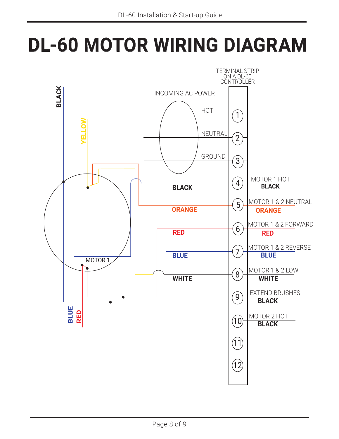## **DL-60 MOTOR WIRING DIAGRAM**